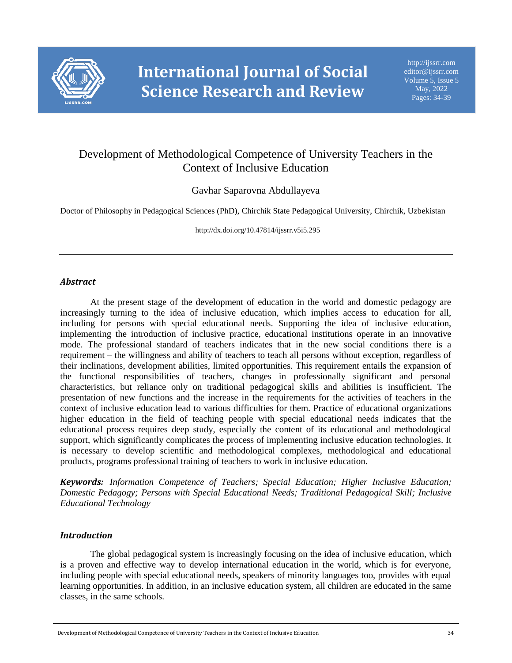

# Development of Methodological Competence of University Teachers in the Context of Inclusive Education

Gavhar Saparovna Abdullayeva

Doctor of Philosophy in Pedagogical Sciences (PhD), Chirchik State Pedagogical University, Chirchik, Uzbekistan

http://dx.doi.org/10.47814/ijssrr.v5i5.295

#### *Abstract*

At the present stage of the development of education in the world and domestic pedagogy are increasingly turning to the idea of inclusive education, which implies access to education for all, including for persons with special educational needs. Supporting the idea of inclusive education, implementing the introduction of inclusive practice, educational institutions operate in an innovative mode. The professional standard of teachers indicates that in the new social conditions there is a requirement – the willingness and ability of teachers to teach all persons without exception, regardless of their inclinations, development abilities, limited opportunities. This requirement entails the expansion of the functional responsibilities of teachers, changes in professionally significant and personal characteristics, but reliance only on traditional pedagogical skills and abilities is insufficient. The presentation of new functions and the increase in the requirements for the activities of teachers in the context of inclusive education lead to various difficulties for them. Practice of educational organizations higher education in the field of teaching people with special educational needs indicates that the educational process requires deep study, especially the content of its educational and methodological support, which significantly complicates the process of implementing inclusive education technologies. It is necessary to develop scientific and methodological complexes, methodological and educational products, programs professional training of teachers to work in inclusive education.

*Keywords: Information Competence of Teachers; Special Education; Higher Inclusive Education; Domestic Pedagogy; Persons with Special Educational Needs; Traditional Pedagogical Skill; Inclusive Educational Technology*

### *Introduction*

The global pedagogical system is increasingly focusing on the idea of inclusive education, which is a proven and effective way to develop international education in the world, which is for everyone, including people with special educational needs, speakers of minority languages too, provides with equal learning opportunities. In addition, in an inclusive education system, all children are educated in the same classes, in the same schools.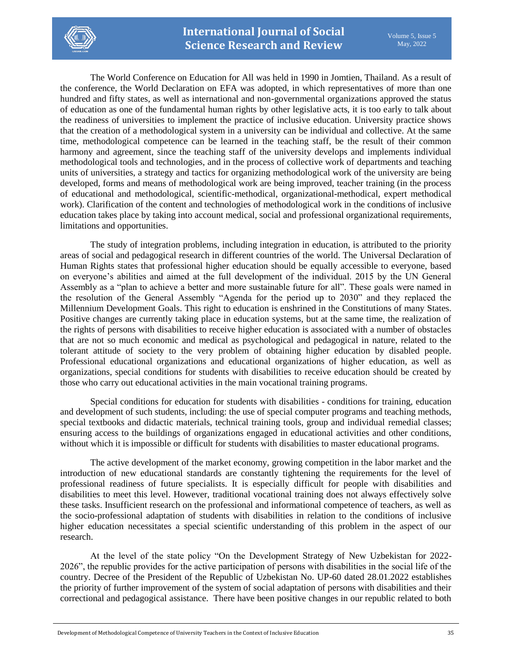

The World Conference on Education for All was held in 1990 in Jomtien, Thailand. As a result of the conference, the World Declaration on EFA was adopted, in which representatives of more than one hundred and fifty states, as well as international and non-governmental organizations approved the status of education as one of the fundamental human rights by other legislative acts, it is too early to talk about the readiness of universities to implement the practice of inclusive education. University practice shows that the creation of a methodological system in a university can be individual and collective. At the same time, methodological competence can be learned in the teaching staff, be the result of their common harmony and agreement, since the teaching staff of the university develops and implements individual methodological tools and technologies, and in the process of collective work of departments and teaching units of universities, a strategy and tactics for organizing methodological work of the university are being developed, forms and means of methodological work are being improved, teacher training (in the process of educational and methodological, scientific-methodical, organizational-methodical, expert methodical work). Clarification of the content and technologies of methodological work in the conditions of inclusive education takes place by taking into account medical, social and professional organizational requirements, limitations and opportunities.

The study of integration problems, including integration in education, is attributed to the priority areas of social and pedagogical research in different countries of the world. The Universal Declaration of Human Rights states that professional higher education should be equally accessible to everyone, based on everyone's abilities and aimed at the full development of the individual. 2015 by the UN General Assembly as a "plan to achieve a better and more sustainable future for all". These goals were named in the resolution of the General Assembly "Agenda for the period up to 2030" and they replaced the Millennium Development Goals. This right to education is enshrined in the Constitutions of many States. Positive changes are currently taking place in education systems, but at the same time, the realization of the rights of persons with disabilities to receive higher education is associated with a number of obstacles that are not so much economic and medical as psychological and pedagogical in nature, related to the tolerant attitude of society to the very problem of obtaining higher education by disabled people. Professional educational organizations and educational organizations of higher education, as well as organizations, special conditions for students with disabilities to receive education should be created by those who carry out educational activities in the main vocational training programs.

Special conditions for education for students with disabilities - conditions for training, education and development of such students, including: the use of special computer programs and teaching methods, special textbooks and didactic materials, technical training tools, group and individual remedial classes; ensuring access to the buildings of organizations engaged in educational activities and other conditions, without which it is impossible or difficult for students with disabilities to master educational programs.

The active development of the market economy, growing competition in the labor market and the introduction of new educational standards are constantly tightening the requirements for the level of professional readiness of future specialists. It is especially difficult for people with disabilities and disabilities to meet this level. However, traditional vocational training does not always effectively solve these tasks. Insufficient research on the professional and informational competence of teachers, as well as the socio-professional adaptation of students with disabilities in relation to the conditions of inclusive higher education necessitates a special scientific understanding of this problem in the aspect of our research.

At the level of the state policy "On the Development Strategy of New Uzbekistan for 2022- 2026", the republic provides for the active participation of persons with disabilities in the social life of the country. Decree of the President of the Republic of Uzbekistan No. UP-60 dated 28.01.2022 establishes the priority of further improvement of the system of social adaptation of persons with disabilities and their correctional and pedagogical assistance. There have been positive changes in our republic related to both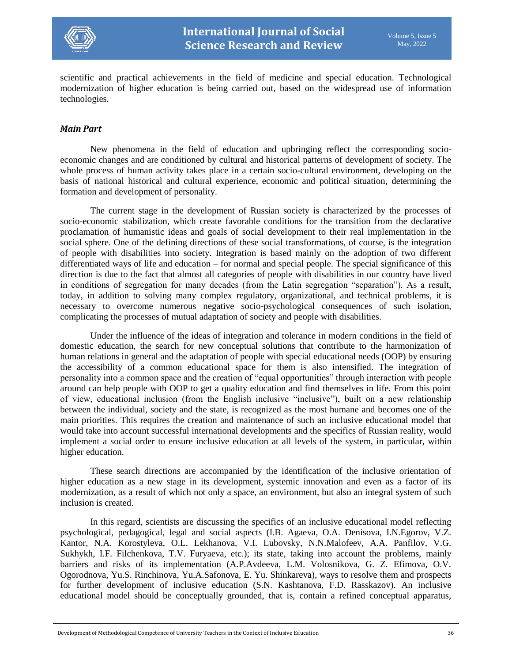

scientific and practical achievements in the field of medicine and special education. Technological modernization of higher education is being carried out, based on the widespread use of information technologies.

### *Main Part*

New phenomena in the field of education and upbringing reflect the corresponding socioeconomic changes and are conditioned by cultural and historical patterns of development of society. The whole process of human activity takes place in a certain socio-cultural environment, developing on the basis of national historical and cultural experience, economic and political situation, determining the formation and development of personality.

The current stage in the development of Russian society is characterized by the processes of socio-economic stabilization, which create favorable conditions for the transition from the declarative proclamation of humanistic ideas and goals of social development to their real implementation in the social sphere. One of the defining directions of these social transformations, of course, is the integration of people with disabilities into society. Integration is based mainly on the adoption of two different differentiated ways of life and education – for normal and special people. The special significance of this direction is due to the fact that almost all categories of people with disabilities in our country have lived in conditions of segregation for many decades (from the Latin segregation "separation"). As a result, today, in addition to solving many complex regulatory, organizational, and technical problems, it is necessary to overcome numerous negative socio-psychological consequences of such isolation, complicating the processes of mutual adaptation of society and people with disabilities.

Under the influence of the ideas of integration and tolerance in modern conditions in the field of domestic education, the search for new conceptual solutions that contribute to the harmonization of human relations in general and the adaptation of people with special educational needs (OOP) by ensuring the accessibility of a common educational space for them is also intensified. The integration of personality into a common space and the creation of "equal opportunities" through interaction with people around can help people with OOP to get a quality education and find themselves in life. From this point of view, educational inclusion (from the English inclusive "inclusive"), built on a new relationship between the individual, society and the state, is recognized as the most humane and becomes one of the main priorities. This requires the creation and maintenance of such an inclusive educational model that would take into account successful international developments and the specifics of Russian reality, would implement a social order to ensure inclusive education at all levels of the system, in particular, within higher education.

These search directions are accompanied by the identification of the inclusive orientation of higher education as a new stage in its development, systemic innovation and even as a factor of its modernization, as a result of which not only a space, an environment, but also an integral system of such inclusion is created.

In this regard, scientists are discussing the specifics of an inclusive educational model reflecting psychological, pedagogical, legal and social aspects (I.B. Agaeva, O.A. Denisova, I.N.Egorov, V.Z. Kantor, N.A. Korostyleva, O.L. Lekhanova, V.I. Lubovsky, N.N.Malofeev, A.A. Panfilov, V.G. Sukhykh, I.F. Filchenkova, T.V. Furyaeva, etc.); its state, taking into account the problems, mainly barriers and risks of its implementation (A.P.Avdeeva, L.M. Volosnikova, G. Z. Efimova, O.V. Ogorodnova, Yu.S. Rinchinova, Yu.A.Safonova, E. Yu. Shinkareva), ways to resolve them and prospects for further development of inclusive education (S.N. Kashtanova, F.D. Rasskazov). An inclusive educational model should be conceptually grounded, that is, contain a refined conceptual apparatus,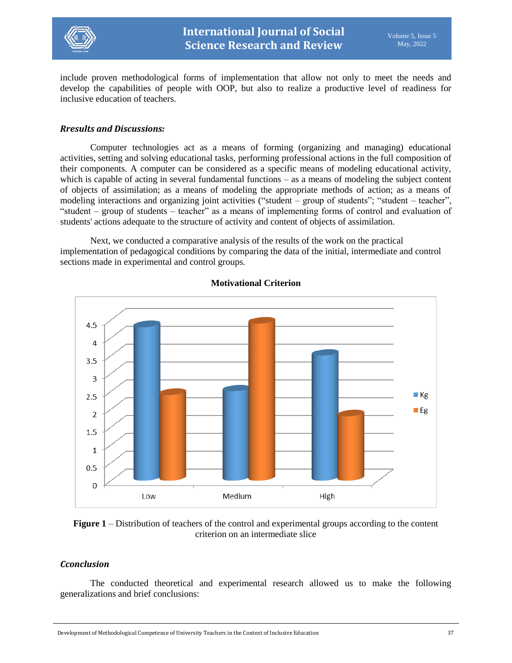

include proven methodological forms of implementation that allow not only to meet the needs and develop the capabilities of people with OOP, but also to realize a productive level of readiness for inclusive education of teachers.

### *Rresults and Discussions:*

Computer technologies act as a means of forming (organizing and managing) educational activities, setting and solving educational tasks, performing professional actions in the full composition of their components. A computer can be considered as a specific means of modeling educational activity, which is capable of acting in several fundamental functions – as a means of modeling the subject content of objects of assimilation; as a means of modeling the appropriate methods of action; as a means of modeling interactions and organizing joint activities ("student – group of students"; "student – teacher", "student – group of students – teacher" as a means of implementing forms of control and evaluation of students' actions adequate to the structure of activity and content of objects of assimilation.

Next, we conducted a comparative analysis of the results of the work on the practical implementation of pedagogical conditions by comparing the data of the initial, intermediate and control sections made in experimental and control groups.



# **Motivational Criterion**

### **Figure 1** – Distribution of teachers of the control and experimental groups according to the content criterion on an intermediate slice

### *Cconclusion*

The conducted theoretical and experimental research allowed us to make the following generalizations and brief conclusions: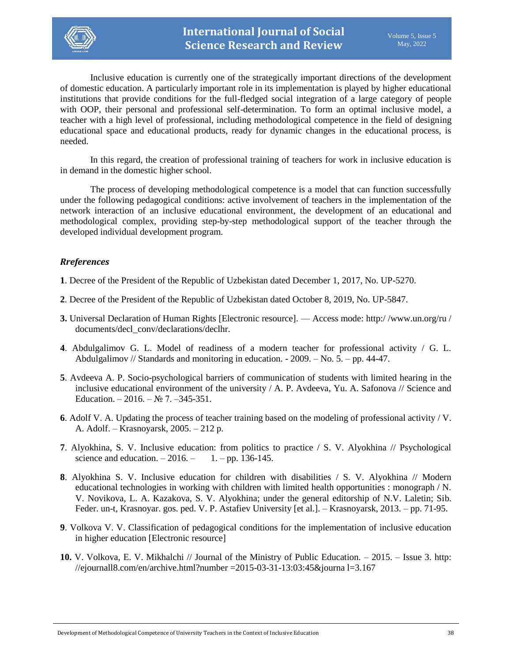

Inclusive education is currently one of the strategically important directions of the development of domestic education. A particularly important role in its implementation is played by higher educational institutions that provide conditions for the full-fledged social integration of a large category of people with OOP, their personal and professional self-determination. To form an optimal inclusive model, a teacher with a high level of professional, including methodological competence in the field of designing educational space and educational products, ready for dynamic changes in the educational process, is needed.

In this regard, the creation of professional training of teachers for work in inclusive education is in demand in the domestic higher school.

The process of developing methodological competence is a model that can function successfully under the following pedagogical conditions: active involvement of teachers in the implementation of the network interaction of an inclusive educational environment, the development of an educational and methodological complex, providing step-by-step methodological support of the teacher through the developed individual development program.

## *Rreferences*

- **1**. Decree of the President of the Republic of Uzbekistan dated December 1, 2017, No. UP-5270.
- **2**. Decree of the President of the Republic of Uzbekistan dated October 8, 2019, No. UP-5847.
- **3.** Universal Declaration of Human Rights [Electronic resource]. Access mode: http:/ /www.un.org/ru / documents/decl\_conv/declarations/declhr.
- **4**. Abdulgalimov G. L. Model of readiness of a modern teacher for professional activity / G. L. Abdulgalimov // Standards and monitoring in education. - 2009. – No. 5. – pp. 44-47.
- **5**. Avdeeva A. P. Socio-psychological barriers of communication of students with limited hearing in the inclusive educational environment of the university / A. P. Avdeeva, Yu. A. Safonova // Science and Education. – 2016. –  $\mathbb{N}^{\circ}$  7. –345-351.
- **6**. Adolf V. A. Updating the process of teacher training based on the modeling of professional activity / V. A. Adolf. – Krasnoyarsk, 2005. – 212 p.
- **7**. Alyokhina, S. V. Inclusive education: from politics to practice / S. V. Alyokhina // Psychological science and education.  $-2016. - 1. - pp. 136-145.$
- **8**. Alyokhina S. V. Inclusive education for children with disabilities / S. V. Alyokhina // Modern educational technologies in working with children with limited health opportunities : monograph / N. V. Novikova, L. A. Kazakova, S. V. Alyokhina; under the general editorship of N.V. Laletin; Sib. Feder. un-t, Krasnoyar. gos. ped. V. P. Astafiev University [et al.]. – Krasnoyarsk, 2013. – pp. 71-95.
- **9**. Volkova V. V. Classification of pedagogical conditions for the implementation of inclusive education in higher education [Electronic resource]
- **10.** V. Volkova, E. V. Mikhalchi // Journal of the Ministry of Public Education. 2015. Issue 3. http: //ejournall8.com/en/archive.html?number =2015-03-31-13:03:45&journa l=3.167